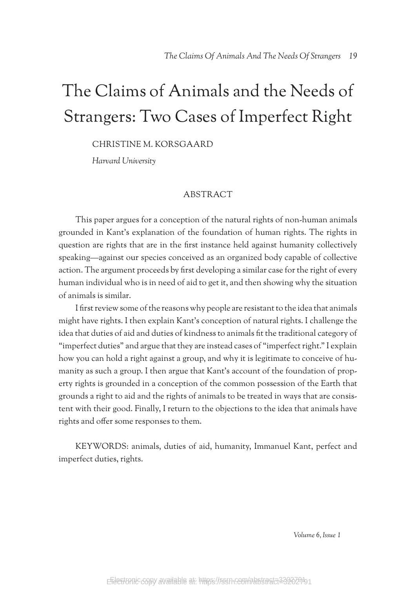# The Claims of Animals and the Needs of Strangers: Two Cases of Imperfect Right

CHRISTINE M. KORSGAARD

*Harvard University*

## ABSTRACT

This paper argues for a conception of the natural rights of non-human animals grounded in Kant's explanation of the foundation of human rights. The rights in question are rights that are in the first instance held against humanity collectively speaking—against our species conceived as an organized body capable of collective action. The argument proceeds by first developing a similar case for the right of every human individual who is in need of aid to get it, and then showing why the situation of animals is similar.

I first review some of the reasons why people are resistant to the idea that animals might have rights. I then explain Kant's conception of natural rights. I challenge the idea that duties of aid and duties of kindness to animals fit the traditional category of "imperfect duties" and argue that they are instead cases of "imperfect right." I explain how you can hold a right against a group, and why it is legitimate to conceive of humanity as such a group. I then argue that Kant's account of the foundation of property rights is grounded in a conception of the common possession of the Earth that grounds a right to aid and the rights of animals to be treated in ways that are consistent with their good. Finally, I return to the objections to the idea that animals have rights and offer some responses to them.

KEYWORDS: animals, duties of aid, humanity, Immanuel Kant, perfect and imperfect duties, rights.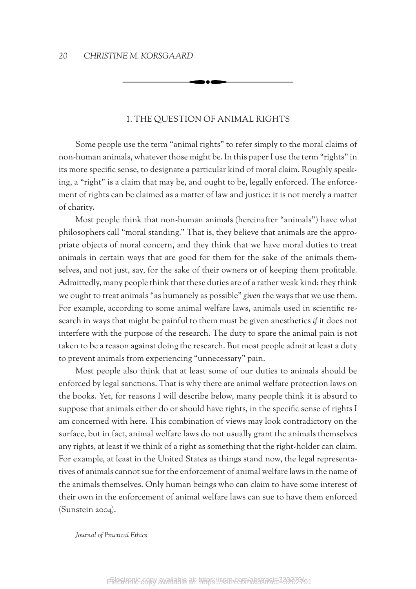## 1. THE QUESTION OF ANIMAL RIGHTS

Some people use the term "animal rights" to refer simply to the moral claims of non-human animals, whatever those might be. In this paper I use the term "rights" in its more specific sense, to designate a particular kind of moral claim. Roughly speaking, a "right" is a claim that may be, and ought to be, legally enforced. The enforcement of rights can be claimed as a matter of law and justice: it is not merely a matter of charity.

Most people think that non-human animals (hereinafter "animals") have what philosophers call "moral standing." That is, they believe that animals are the appropriate objects of moral concern, and they think that we have moral duties to treat animals in certain ways that are good for them for the sake of the animals themselves, and not just, say, for the sake of their owners or of keeping them profitable. Admittedly, many people think that these duties are of a rather weak kind: they think we ought to treat animals "as humanely as possible" *given* the ways that we use them. For example, according to some animal welfare laws, animals used in scientific research in ways that might be painful to them must be given anesthetics *if* it does not interfere with the purpose of the research. The duty to spare the animal pain is not taken to be a reason against doing the research. But most people admit at least a duty to prevent animals from experiencing "unnecessary" pain.

Most people also think that at least some of our duties to animals should be enforced by legal sanctions. That is why there are animal welfare protection laws on the books. Yet, for reasons I will describe below, many people think it is absurd to suppose that animals either do or should have rights, in the specific sense of rights I am concerned with here. This combination of views may look contradictory on the surface, but in fact, animal welfare laws do not usually grant the animals themselves any rights, at least if we think of a right as something that the right-holder can claim. For example, at least in the United States as things stand now, the legal representatives of animals cannot sue for the enforcement of animal welfare laws in the name of the animals themselves. Only human beings who can claim to have some interest of their own in the enforcement of animal welfare laws can sue to have them enforced (Sunstein 2004).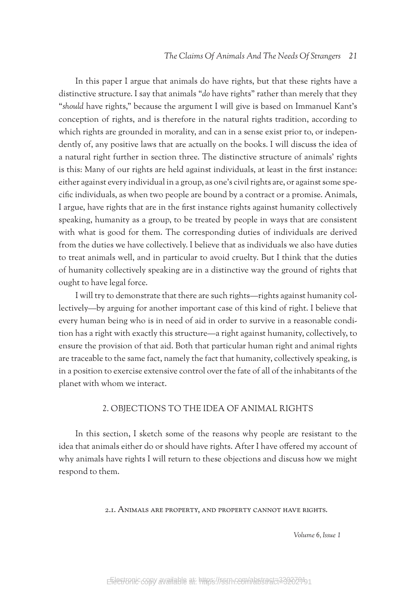#### *The Claims Of Animals And The Needs Of Strangers 21*

In this paper I argue that animals do have rights, but that these rights have a distinctive structure. I say that animals "*do* have rights" rather than merely that they "*should* have rights," because the argument I will give is based on Immanuel Kant's conception of rights, and is therefore in the natural rights tradition, according to which rights are grounded in morality, and can in a sense exist prior to, or independently of, any positive laws that are actually on the books. I will discuss the idea of a natural right further in section three. The distinctive structure of animals' rights is this: Many of our rights are held against individuals, at least in the first instance: either against every individual in a group, as one's civil rights are, or against some specific individuals, as when two people are bound by a contract or a promise. Animals, I argue, have rights that are in the first instance rights against humanity collectively speaking, humanity as a group, to be treated by people in ways that are consistent with what is good for them. The corresponding duties of individuals are derived from the duties we have collectively. I believe that as individuals we also have duties to treat animals well, and in particular to avoid cruelty. But I think that the duties of humanity collectively speaking are in a distinctive way the ground of rights that ought to have legal force.

I will try to demonstrate that there are such rights—rights against humanity collectively—by arguing for another important case of this kind of right. I believe that every human being who is in need of aid in order to survive in a reasonable condition has a right with exactly this structure—a right against humanity, collectively, to ensure the provision of that aid. Both that particular human right and animal rights are traceable to the same fact, namely the fact that humanity, collectively speaking, is in a position to exercise extensive control over the fate of all of the inhabitants of the planet with whom we interact.

## 2. OBJECTIONS TO THE IDEA OF ANIMAL RIGHTS

In this section, I sketch some of the reasons why people are resistant to the idea that animals either do or should have rights. After I have offered my account of why animals have rights I will return to these objections and discuss how we might respond to them.

2.1. Animals are property, and property cannot have rights.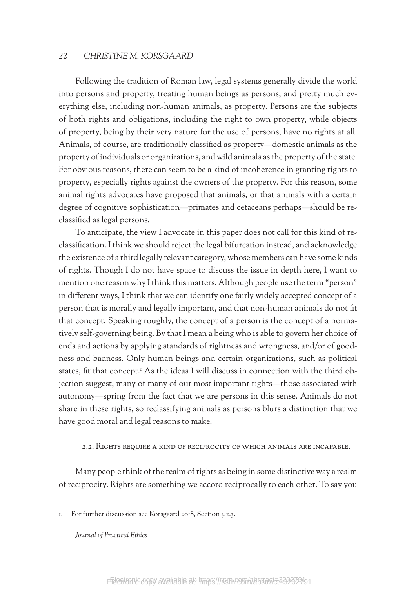Following the tradition of Roman law, legal systems generally divide the world into persons and property, treating human beings as persons, and pretty much everything else, including non-human animals, as property. Persons are the subjects of both rights and obligations, including the right to own property, while objects of property, being by their very nature for the use of persons, have no rights at all. Animals, of course, are traditionally classified as property—domestic animals as the property of individuals or organizations, and wild animals as the property of the state. For obvious reasons, there can seem to be a kind of incoherence in granting rights to property, especially rights against the owners of the property. For this reason, some animal rights advocates have proposed that animals, or that animals with a certain degree of cognitive sophistication—primates and cetaceans perhaps—should be reclassified as legal persons.

To anticipate, the view I advocate in this paper does not call for this kind of reclassification. I think we should reject the legal bifurcation instead, and acknowledge the existence of a third legally relevant category, whose members can have some kinds of rights. Though I do not have space to discuss the issue in depth here, I want to mention one reason why I think this matters. Although people use the term "person" in different ways, I think that we can identify one fairly widely accepted concept of a person that is morally and legally important, and that non-human animals do not fit that concept. Speaking roughly, the concept of a person is the concept of a normatively self-governing being. By that I mean a being who is able to govern her choice of ends and actions by applying standards of rightness and wrongness, and/or of goodness and badness. Only human beings and certain organizations, such as political states, fit that concept.<sup>1</sup> As the ideas I will discuss in connection with the third objection suggest, many of many of our most important rights—those associated with autonomy—spring from the fact that we are persons in this sense. Animals do not share in these rights, so reclassifying animals as persons blurs a distinction that we have good moral and legal reasons to make.

#### 2.2. Rights require a kind of reciprocity of which animals are incapable.

Many people think of the realm of rights as being in some distinctive way a realm of reciprocity. Rights are something we accord reciprocally to each other. To say you

1. For further discussion see Korsgaard 2018, Section 3.2.3.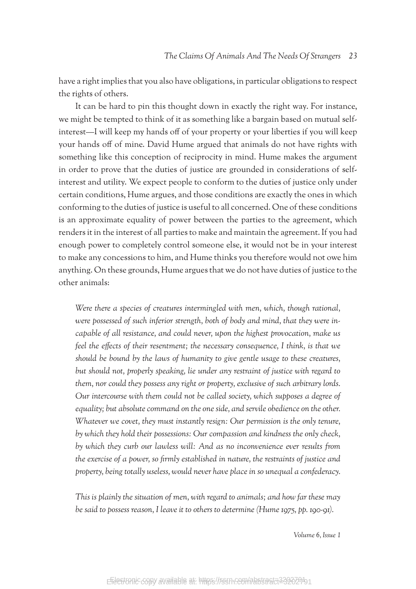have a right implies that you also have obligations, in particular obligations to respect the rights of others.

It can be hard to pin this thought down in exactly the right way. For instance, we might be tempted to think of it as something like a bargain based on mutual selfinterest—I will keep my hands off of your property or your liberties if you will keep your hands off of mine. David Hume argued that animals do not have rights with something like this conception of reciprocity in mind. Hume makes the argument in order to prove that the duties of justice are grounded in considerations of selfinterest and utility. We expect people to conform to the duties of justice only under certain conditions, Hume argues, and those conditions are exactly the ones in which conforming to the duties of justice is useful to all concerned. One of these conditions is an approximate equality of power between the parties to the agreement, which renders it in the interest of all parties to make and maintain the agreement. If you had enough power to completely control someone else, it would not be in your interest to make any concessions to him, and Hume thinks you therefore would not owe him anything. On these grounds, Hume argues that we do not have duties of justice to the other animals:

*Were there a species of creatures intermingled with men, which, though rational, were possessed of such inferior strength, both of body and mind, that they were incapable of all resistance, and could never, upon the highest provocation, make us feel the effects of their resentment; the necessary consequence, I think, is that we should be bound by the laws of humanity to give gentle usage to these creatures, but should not, properly speaking, lie under any restraint of justice with regard to them, nor could they possess any right or property, exclusive of such arbitrary lords. Our intercourse with them could not be called society, which supposes a degree of equality; but absolute command on the one side, and servile obedience on the other. Whatever we covet, they must instantly resign: Our permission is the only tenure, by which they hold their possessions: Our compassion and kindness the only check, by which they curb our lawless will: And as no inconvenience ever results from the exercise of a power, so firmly established in nature, the restraints of justice and property, being totally useless, would never have place in so unequal a confederacy.*

*This is plainly the situation of men, with regard to animals; and how far these may be said to possess reason, I leave it to others to determine (Hume 1975, pp. 190-91).*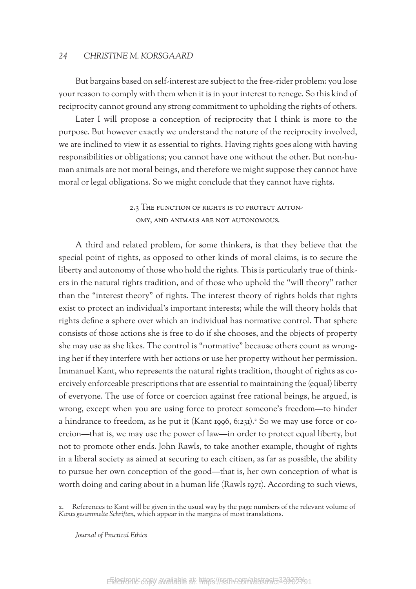But bargains based on self-interest are subject to the free-rider problem: you lose your reason to comply with them when it is in your interest to renege. So this kind of reciprocity cannot ground any strong commitment to upholding the rights of others.

Later I will propose a conception of reciprocity that I think is more to the purpose. But however exactly we understand the nature of the reciprocity involved, we are inclined to view it as essential to rights. Having rights goes along with having responsibilities or obligations; you cannot have one without the other. But non-human animals are not moral beings, and therefore we might suppose they cannot have moral or legal obligations. So we might conclude that they cannot have rights.

> 2.3 The function of rights is to protect autonomy, and animals are not autonomous.

A third and related problem, for some thinkers, is that they believe that the special point of rights, as opposed to other kinds of moral claims, is to secure the liberty and autonomy of those who hold the rights. This is particularly true of thinkers in the natural rights tradition, and of those who uphold the "will theory" rather than the "interest theory" of rights. The interest theory of rights holds that rights exist to protect an individual's important interests; while the will theory holds that rights define a sphere over which an individual has normative control. That sphere consists of those actions she is free to do if she chooses, and the objects of property she may use as she likes. The control is "normative" because others count as wronging her if they interfere with her actions or use her property without her permission. Immanuel Kant, who represents the natural rights tradition, thought of rights as coercively enforceable prescriptions that are essential to maintaining the (equal) liberty of everyone. The use of force or coercion against free rational beings, he argued, is wrong, except when you are using force to protect someone's freedom—to hinder a hindrance to freedom, as he put it (Kant 1996, 6:231).<sup>2</sup> So we may use force or coercion—that is, we may use the power of law—in order to protect equal liberty, but not to promote other ends. John Rawls, to take another example, thought of rights in a liberal society as aimed at securing to each citizen, as far as possible, the ability to pursue her own conception of the good—that is, her own conception of what is worth doing and caring about in a human life (Rawls 1971). According to such views,

2. References to Kant will be given in the usual way by the page numbers of the relevant volume of *Kants gesammelte Schriften*, which appear in the margins of most translations.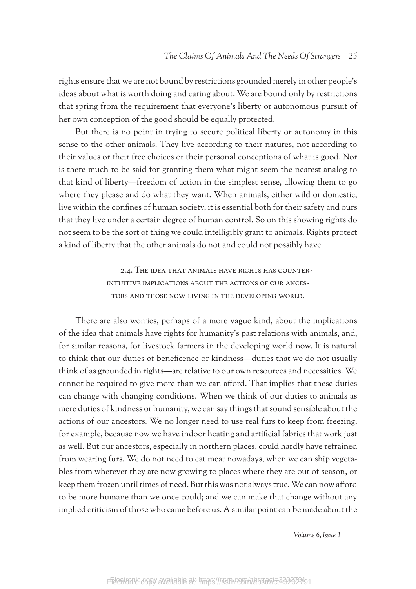rights ensure that we are not bound by restrictions grounded merely in other people's ideas about what is worth doing and caring about. We are bound only by restrictions that spring from the requirement that everyone's liberty or autonomous pursuit of her own conception of the good should be equally protected.

But there is no point in trying to secure political liberty or autonomy in this sense to the other animals. They live according to their natures, not according to their values or their free choices or their personal conceptions of what is good. Nor is there much to be said for granting them what might seem the nearest analog to that kind of liberty—freedom of action in the simplest sense, allowing them to go where they please and do what they want. When animals, either wild or domestic, live within the confines of human society, it is essential both for their safety and ours that they live under a certain degree of human control. So on this showing rights do not seem to be the sort of thing we could intelligibly grant to animals. Rights protect a kind of liberty that the other animals do not and could not possibly have.

> 2.4. The idea that animals have rights has counterintuitive implications about the actions of our ancestors and those now living in the developing world.

There are also worries, perhaps of a more vague kind, about the implications of the idea that animals have rights for humanity's past relations with animals, and, for similar reasons, for livestock farmers in the developing world now. It is natural to think that our duties of beneficence or kindness—duties that we do not usually think of as grounded in rights—are relative to our own resources and necessities. We cannot be required to give more than we can afford. That implies that these duties can change with changing conditions. When we think of our duties to animals as mere duties of kindness or humanity, we can say things that sound sensible about the actions of our ancestors. We no longer need to use real furs to keep from freezing, for example, because now we have indoor heating and artificial fabrics that work just as well. But our ancestors, especially in northern places, could hardly have refrained from wearing furs. We do not need to eat meat nowadays, when we can ship vegetables from wherever they are now growing to places where they are out of season, or keep them frozen until times of need. But this was not always true. We can now afford to be more humane than we once could; and we can make that change without any implied criticism of those who came before us. A similar point can be made about the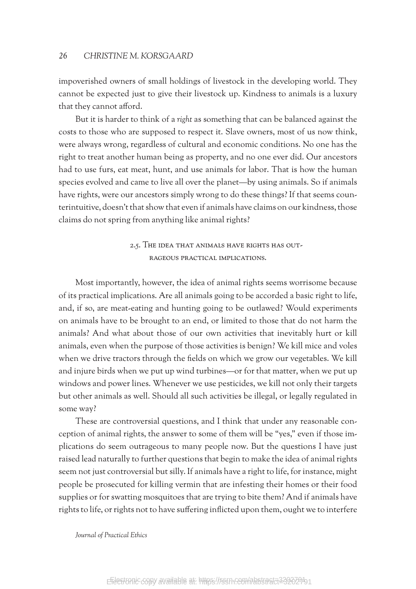impoverished owners of small holdings of livestock in the developing world. They cannot be expected just to give their livestock up. Kindness to animals is a luxury that they cannot afford.

But it is harder to think of a *right* as something that can be balanced against the costs to those who are supposed to respect it. Slave owners, most of us now think, were always wrong, regardless of cultural and economic conditions. No one has the right to treat another human being as property, and no one ever did. Our ancestors had to use furs, eat meat, hunt, and use animals for labor. That is how the human species evolved and came to live all over the planet—by using animals. So if animals have rights, were our ancestors simply wrong to do these things? If that seems counterintuitive, doesn't that show that even if animals have claims on our kindness, those claims do not spring from anything like animal rights?

## 2.5. The idea that animals have rights has outrageous practical implications.

Most importantly, however, the idea of animal rights seems worrisome because of its practical implications. Are all animals going to be accorded a basic right to life, and, if so, are meat-eating and hunting going to be outlawed? Would experiments on animals have to be brought to an end, or limited to those that do not harm the animals? And what about those of our own activities that inevitably hurt or kill animals, even when the purpose of those activities is benign? We kill mice and voles when we drive tractors through the fields on which we grow our vegetables. We kill and injure birds when we put up wind turbines—or for that matter, when we put up windows and power lines. Whenever we use pesticides, we kill not only their targets but other animals as well. Should all such activities be illegal, or legally regulated in some way?

These are controversial questions, and I think that under any reasonable conception of animal rights, the answer to some of them will be "yes," even if those implications do seem outrageous to many people now. But the questions I have just raised lead naturally to further questions that begin to make the idea of animal rights seem not just controversial but silly. If animals have a right to life, for instance, might people be prosecuted for killing vermin that are infesting their homes or their food supplies or for swatting mosquitoes that are trying to bite them? And if animals have rights to life, or rights not to have suffering inflicted upon them, ought we to interfere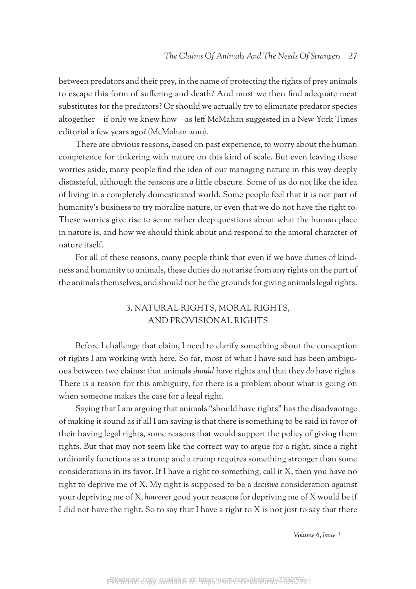between predators and their prey, in the name of protecting the rights of prey animals to escape this form of suffering and death? And must we then find adequate meat substitutes for the predators? Or should we actually try to eliminate predator species altogether—if only we knew how—as Jeff McMahan suggested in a New York Times editorial a few years ago? (McMahan 2010).

There are obvious reasons, based on past experience, to worry about the human competence for tinkering with nature on this kind of scale. But even leaving those worries aside, many people find the idea of our managing nature in this way deeply distasteful, although the reasons are a little obscure. Some of us do not like the idea of living in a completely domesticated world. Some people feel that it is not part of humanity's business to try moralize nature, or even that we do not have the right to. These worries give rise to some rather deep questions about what the human place in nature is, and how we should think about and respond to the amoral character of nature itself.

For all of these reasons, many people think that even if we have duties of kindness and humanity to animals, these duties do not arise from any rights on the part of the animals themselves, and should not be the grounds for giving animals legal rights.

# 3. NATURAL RIGHTS, MORAL RIGHTS, AND PROVISIONAL RIGHTS

Before I challenge that claim, I need to clarify something about the conception of rights I am working with here. So far, most of what I have said has been ambiguous between two claims: that animals *should* have rights and that they *do* have rights. There is a reason for this ambiguity, for there is a problem about what is going on when someone makes the case for a legal right.

Saying that I am arguing that animals "should have rights" has the disadvantage of making it sound as if all I am saying is that there is something to be said in favor of their having legal rights, some reasons that would support the policy of giving them rights. But that may not seem like the correct way to argue for a right, since a right ordinarily functions as a trump and a trump requires something stronger than some considerations in its favor. If I have a right to something, call it X, then you have no right to deprive me of X. My right is supposed to be a *decisive* consideration against your depriving me of X, *however* good your reasons for depriving me of X would be if I did not have the right. So to say that I have a right to X is not just to say that there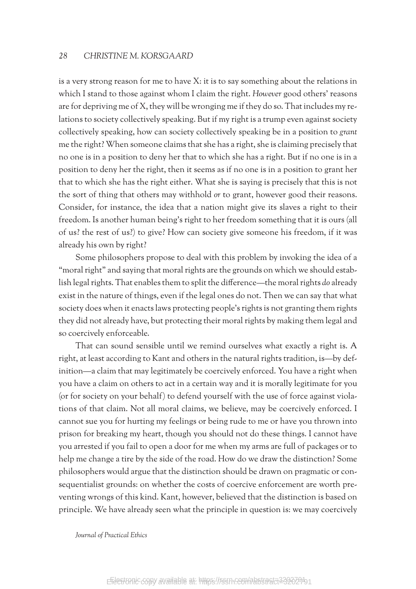is a very strong reason for me to have X: it is to say something about the relations in which I stand to those against whom I claim the right. *However* good others' reasons are for depriving me of X, they will be wronging me if they do so. That includes my relations to society collectively speaking. But if my right is a trump even against society collectively speaking, how can society collectively speaking be in a position to *grant* me the right? When someone claims that she has a right, she is claiming precisely that no one is in a position to deny her that to which she has a right. But if no one is in a position to deny her the right, then it seems as if no one is in a position to grant her that to which she has the right either. What she is saying is precisely that this is not the sort of thing that others may withhold *or* to grant, however good their reasons. Consider, for instance, the idea that a nation might give its slaves a right to their freedom. Is another human being's right to her freedom something that it is ours (all of us? the rest of us?) to give? How can society give someone his freedom, if it was already his own by right?

Some philosophers propose to deal with this problem by invoking the idea of a "moral right" and saying that moral rights are the grounds on which we should establish legal rights. That enables them to split the difference—the moral rights *do* already exist in the nature of things, even if the legal ones do not. Then we can say that what society does when it enacts laws protecting people's rights is not granting them rights they did not already have, but protecting their moral rights by making them legal and so coercively enforceable.

That can sound sensible until we remind ourselves what exactly a right is. A right, at least according to Kant and others in the natural rights tradition, is—by definition—a claim that may legitimately be coercively enforced. You have a right when you have a claim on others to act in a certain way and it is morally legitimate for you (or for society on your behalf) to defend yourself with the use of force against violations of that claim. Not all moral claims, we believe, may be coercively enforced. I cannot sue you for hurting my feelings or being rude to me or have you thrown into prison for breaking my heart, though you should not do these things. I cannot have you arrested if you fail to open a door for me when my arms are full of packages or to help me change a tire by the side of the road. How do we draw the distinction? Some philosophers would argue that the distinction should be drawn on pragmatic or consequentialist grounds: on whether the costs of coercive enforcement are worth preventing wrongs of this kind. Kant, however, believed that the distinction is based on principle. We have already seen what the principle in question is: we may coercively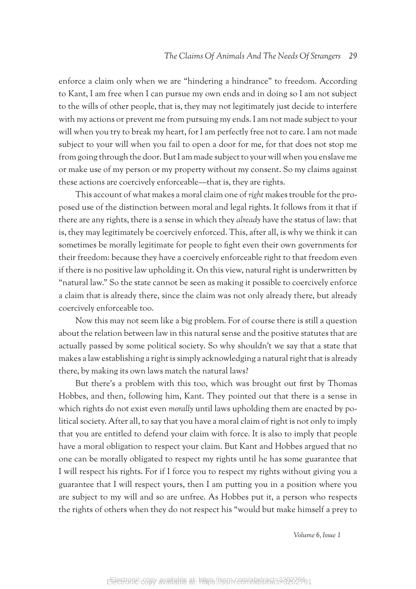enforce a claim only when we are "hindering a hindrance" to freedom. According to Kant, I am free when I can pursue my own ends and in doing so I am not subject to the wills of other people, that is, they may not legitimately just decide to interfere with my actions or prevent me from pursuing my ends. I am not made subject to your will when you try to break my heart, for I am perfectly free not to care. I am not made subject to your will when you fail to open a door for me, for that does not stop me from going through the door. But I am made subject to your will when you enslave me or make use of my person or my property without my consent. So my claims against these actions are coercively enforceable—that is, they are rights.

This account of what makes a moral claim one of *right* makes trouble for the proposed use of the distinction between moral and legal rights. It follows from it that if there are any rights, there is a sense in which they *already* have the status of law: that is, they may legitimately be coercively enforced. This, after all, is why we think it can sometimes be morally legitimate for people to fight even their own governments for their freedom: because they have a coercively enforceable right to that freedom even if there is no positive law upholding it. On this view, natural right is underwritten by "natural law." So the state cannot be seen as making it possible to coercively enforce a claim that is already there, since the claim was not only already there, but already coercively enforceable too.

Now this may not seem like a big problem. For of course there is still a question about the relation between law in this natural sense and the positive statutes that are actually passed by some political society. So why shouldn't we say that a state that makes a law establishing a right is simply acknowledging a natural right that is already there, by making its own laws match the natural laws?

But there's a problem with this too, which was brought out first by Thomas Hobbes, and then, following him, Kant. They pointed out that there is a sense in which rights do not exist even *morally* until laws upholding them are enacted by political society. After all, to say that you have a moral claim of right is not only to imply that you are entitled to defend your claim with force. It is also to imply that people have a moral obligation to respect your claim. But Kant and Hobbes argued that no one can be morally obligated to respect my rights until he has some guarantee that I will respect his rights. For if I force you to respect my rights without giving you a guarantee that I will respect yours, then I am putting you in a position where you are subject to my will and so are unfree. As Hobbes put it, a person who respects the rights of others when they do not respect his "would but make himself a prey to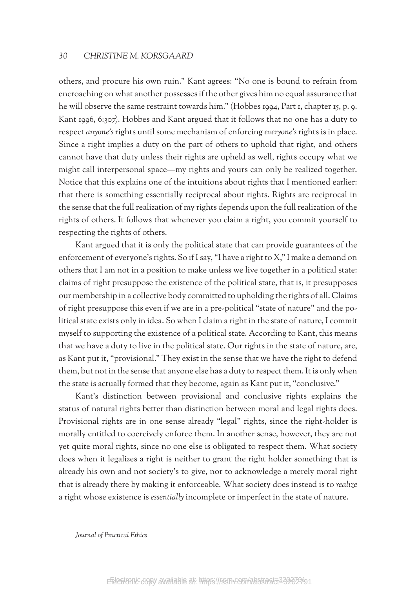others, and procure his own ruin." Kant agrees: "No one is bound to refrain from encroaching on what another possesses if the other gives him no equal assurance that he will observe the same restraint towards him." (Hobbes 1994, Part 1, chapter 15, p. 9. Kant 1996, 6:307). Hobbes and Kant argued that it follows that no one has a duty to respect *anyone's* rights until some mechanism of enforcing *everyone's* rights is in place. Since a right implies a duty on the part of others to uphold that right, and others cannot have that duty unless their rights are upheld as well, rights occupy what we might call interpersonal space—my rights and yours can only be realized together. Notice that this explains one of the intuitions about rights that I mentioned earlier: that there is something essentially reciprocal about rights. Rights are reciprocal in the sense that the full realization of my rights depends upon the full realization of the rights of others. It follows that whenever you claim a right, you commit yourself to respecting the rights of others.

Kant argued that it is only the political state that can provide guarantees of the enforcement of everyone's rights. So if I say, "I have a right to X," I make a demand on others that I am not in a position to make unless we live together in a political state: claims of right presuppose the existence of the political state, that is, it presupposes our membership in a collective body committed to upholding the rights of all. Claims of right presuppose this even if we are in a pre-political "state of nature" and the political state exists only in idea. So when I claim a right in the state of nature, I commit myself to supporting the existence of a political state. According to Kant, this means that we have a duty to live in the political state. Our rights in the state of nature, are, as Kant put it, "provisional." They exist in the sense that we have the right to defend them, but not in the sense that anyone else has a duty to respect them. It is only when the state is actually formed that they become, again as Kant put it, "conclusive."

Kant's distinction between provisional and conclusive rights explains the status of natural rights better than distinction between moral and legal rights does. Provisional rights are in one sense already "legal" rights, since the right-holder is morally entitled to coercively enforce them. In another sense, however, they are not yet quite moral rights, since no one else is obligated to respect them. What society does when it legalizes a right is neither to grant the right holder something that is already his own and not society's to give, nor to acknowledge a merely moral right that is already there by making it enforceable. What society does instead is to *realize* a right whose existence is *essentially* incomplete or imperfect in the state of nature.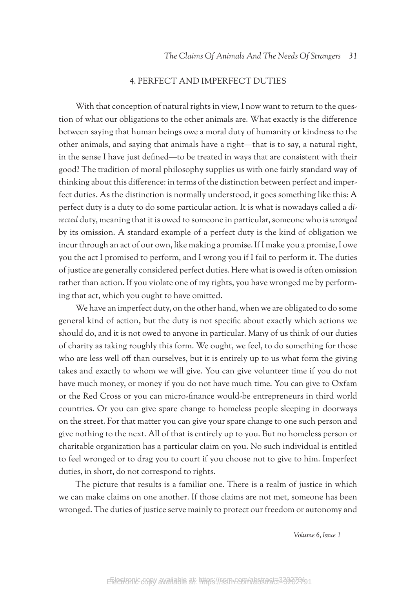## 4. PERFECT AND IMPERFECT DUTIES

With that conception of natural rights in view, I now want to return to the question of what our obligations to the other animals are. What exactly is the difference between saying that human beings owe a moral duty of humanity or kindness to the other animals, and saying that animals have a right—that is to say, a natural right, in the sense I have just defined—to be treated in ways that are consistent with their good? The tradition of moral philosophy supplies us with one fairly standard way of thinking about this difference: in terms of the distinction between perfect and imperfect duties. As the distinction is normally understood, it goes something like this: A perfect duty is a duty to do some particular action. It is what is nowadays called a *directed* duty, meaning that it is owed to someone in particular, someone who is *wronged* by its omission. A standard example of a perfect duty is the kind of obligation we incur through an act of our own, like making a promise. If I make you a promise, I owe you the act I promised to perform, and I wrong you if I fail to perform it. The duties of justice are generally considered perfect duties. Here what is owed is often omission rather than action. If you violate one of my rights, you have wronged me by performing that act, which you ought to have omitted.

We have an imperfect duty, on the other hand, when we are obligated to do some general kind of action, but the duty is not specific about exactly which actions we should do, and it is not owed to anyone in particular. Many of us think of our duties of charity as taking roughly this form. We ought, we feel, to do something for those who are less well off than ourselves, but it is entirely up to us what form the giving takes and exactly to whom we will give. You can give volunteer time if you do not have much money, or money if you do not have much time. You can give to Oxfam or the Red Cross or you can micro-finance would-be entrepreneurs in third world countries. Or you can give spare change to homeless people sleeping in doorways on the street. For that matter you can give your spare change to one such person and give nothing to the next. All of that is entirely up to you. But no homeless person or charitable organization has a particular claim on you. No such individual is entitled to feel wronged or to drag you to court if you choose not to give to him. Imperfect duties, in short, do not correspond to rights.

The picture that results is a familiar one. There is a realm of justice in which we can make claims on one another. If those claims are not met, someone has been wronged. The duties of justice serve mainly to protect our freedom or autonomy and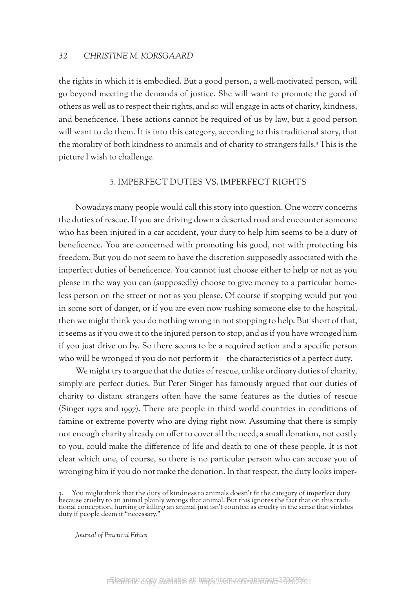the rights in which it is embodied. But a good person, a well-motivated person, will go beyond meeting the demands of justice. She will want to promote the good of others as well as to respect their rights, and so will engage in acts of charity, kindness, and beneficence. These actions cannot be required of us by law, but a good person will want to do them. It is into this category, according to this traditional story, that the morality of both kindness to animals and of charity to strangers falls.<sup>3</sup> This is the picture I wish to challenge.

## 5. IMPERFECT DUTIES vs. IMPERFECT RIGHTS

Nowadays many people would call this story into question. One worry concerns the duties of rescue. If you are driving down a deserted road and encounter someone who has been injured in a car accident, your duty to help him seems to be a duty of beneficence. You are concerned with promoting his good, not with protecting his freedom. But you do not seem to have the discretion supposedly associated with the imperfect duties of beneficence. You cannot just choose either to help or not as you please in the way you can (supposedly) choose to give money to a particular homeless person on the street or not as you please. Of course if stopping would put you in some sort of danger, or if you are even now rushing someone else to the hospital, then we might think you do nothing wrong in not stopping to help. But short of that, it seems as if you owe it to the injured person to stop, and as if you have wronged him if you just drive on by. So there seems to be a required action and a specific person who will be wronged if you do not perform it—the characteristics of a perfect duty.

We might try to argue that the duties of rescue, unlike ordinary duties of charity, simply are perfect duties. But Peter Singer has famously argued that our duties of charity to distant strangers often have the same features as the duties of rescue (Singer 1972 and 1997). There are people in third world countries in conditions of famine or extreme poverty who are dying right now. Assuming that there is simply not enough charity already on offer to cover all the need, a small donation, not costly to you, could make the difference of life and death to one of these people. It is not clear which one, of course, so there is no particular person who can accuse you of wronging him if you do not make the donation. In that respect, the duty looks imper-

<sup>3.</sup> You might think that the duty of kindness to animals doesn't fit the category of imperfect duty because cruelty to an animal plainly wrongs that animal. But this ignores the fact that on this tradi-<br>tional conception, hurting or killing an animal just isn't counted as cruelty in the sense that violates duty if people deem it "necessary."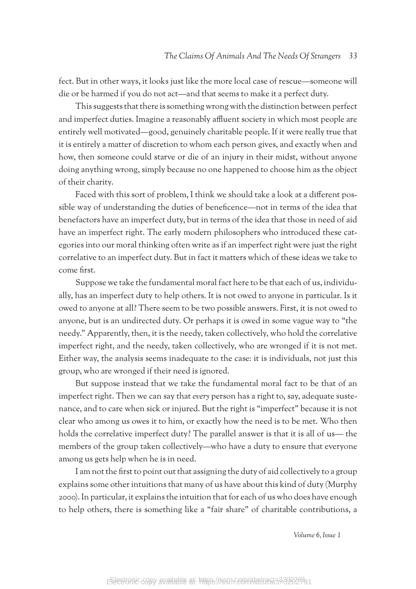fect. But in other ways, it looks just like the more local case of rescue—someone will die or be harmed if you do not act—and that seems to make it a perfect duty.

This suggests that there is something wrong with the distinction between perfect and imperfect duties. Imagine a reasonably affluent society in which most people are entirely well motivated—good, genuinely charitable people. If it were really true that it is entirely a matter of discretion to whom each person gives, and exactly when and how, then someone could starve or die of an injury in their midst, without anyone doing anything wrong, simply because no one happened to choose him as the object of their charity.

Faced with this sort of problem, I think we should take a look at a different possible way of understanding the duties of beneficence—not in terms of the idea that benefactors have an imperfect duty, but in terms of the idea that those in need of aid have an imperfect right. The early modern philosophers who introduced these categories into our moral thinking often write as if an imperfect right were just the right correlative to an imperfect duty. But in fact it matters which of these ideas we take to come first.

Suppose we take the fundamental moral fact here to be that each of us, individually, has an imperfect duty to help others. It is not owed to anyone in particular. Is it owed to anyone at all? There seem to be two possible answers. First, it is not owed to anyone, but is an undirected duty. Or perhaps it is owed in some vague way to "the needy." Apparently, then, it is the needy, taken collectively, who hold the correlative imperfect right, and the needy, taken collectively, who are wronged if it is not met. Either way, the analysis seems inadequate to the case: it is individuals, not just this group, who are wronged if their need is ignored.

But suppose instead that we take the fundamental moral fact to be that of an imperfect right. Then we can say that *every* person has a right to, say, adequate sustenance, and to care when sick or injured. But the right is "imperfect" because it is not clear who among us owes it to him, or exactly how the need is to be met. Who then holds the correlative imperfect duty? The parallel answer is that it is all of us— the members of the group taken collectively—who have a duty to ensure that everyone among us gets help when he is in need.

I am not the first to point out that assigning the duty of aid collectively to a group explains some other intuitions that many of us have about this kind of duty (Murphy 2000). In particular, it explains the intuition that for each of us who does have enough to help others, there is something like a "fair share" of charitable contributions, a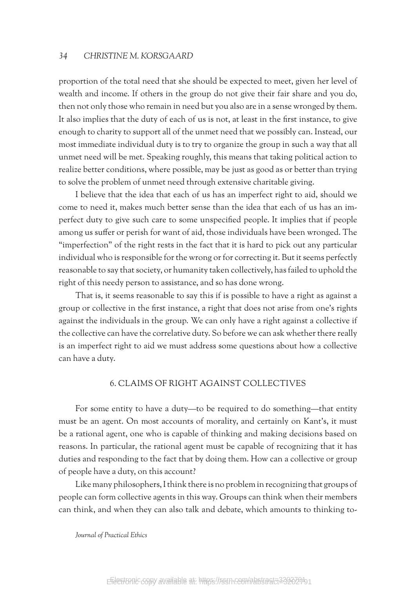proportion of the total need that she should be expected to meet, given her level of wealth and income. If others in the group do not give their fair share and you do, then not only those who remain in need but you also are in a sense wronged by them. It also implies that the duty of each of us is not, at least in the first instance, to give enough to charity to support all of the unmet need that we possibly can. Instead, our most immediate individual duty is to try to organize the group in such a way that all unmet need will be met. Speaking roughly, this means that taking political action to realize better conditions, where possible, may be just as good as or better than trying to solve the problem of unmet need through extensive charitable giving.

I believe that the idea that each of us has an imperfect right to aid, should we come to need it, makes much better sense than the idea that each of us has an imperfect duty to give such care to some unspecified people. It implies that if people among us suffer or perish for want of aid, those individuals have been wronged. The "imperfection" of the right rests in the fact that it is hard to pick out any particular individual who is responsible for the wrong or for correcting it. But it seems perfectly reasonable to say that society, or humanity taken collectively, has failed to uphold the right of this needy person to assistance, and so has done wrong.

That is, it seems reasonable to say this if is possible to have a right as against a group or collective in the first instance, a right that does not arise from one's rights against the individuals in the group. We can only have a right against a collective if the collective can have the correlative duty. So before we can ask whether there really is an imperfect right to aid we must address some questions about how a collective can have a duty.

#### 6. CLAIMS OF RIGHT AGAINST COLLECTIVES

For some entity to have a duty—to be required to do something—that entity must be an agent. On most accounts of morality, and certainly on Kant's, it must be a rational agent, one who is capable of thinking and making decisions based on reasons. In particular, the rational agent must be capable of recognizing that it has duties and responding to the fact that by doing them. How can a collective or group of people have a duty, on this account?

Like many philosophers, I think there is no problem in recognizing that groups of people can form collective agents in this way. Groups can think when their members can think, and when they can also talk and debate, which amounts to thinking to-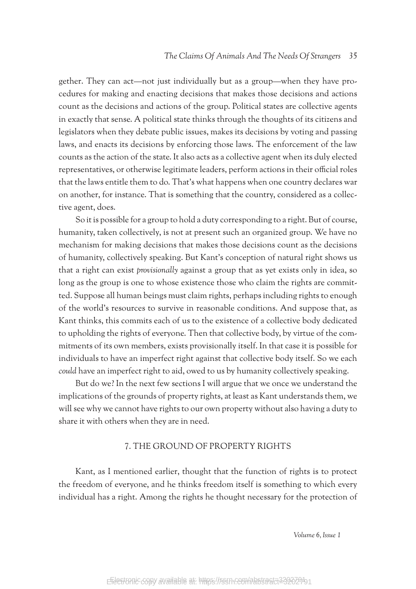gether. They can act—not just individually but as a group—when they have procedures for making and enacting decisions that makes those decisions and actions count as the decisions and actions of the group. Political states are collective agents in exactly that sense. A political state thinks through the thoughts of its citizens and legislators when they debate public issues, makes its decisions by voting and passing laws, and enacts its decisions by enforcing those laws. The enforcement of the law counts as the action of the state. It also acts as a collective agent when its duly elected representatives, or otherwise legitimate leaders, perform actions in their official roles that the laws entitle them to do. That's what happens when one country declares war on another, for instance. That is something that the country, considered as a collective agent, does.

So it is possible for a group to hold a duty corresponding to a right. But of course, humanity, taken collectively, is not at present such an organized group. We have no mechanism for making decisions that makes those decisions count as the decisions of humanity, collectively speaking. But Kant's conception of natural right shows us that a right can exist *provisionally* against a group that as yet exists only in idea, so long as the group is one to whose existence those who claim the rights are committed. Suppose all human beings must claim rights, perhaps including rights to enough of the world's resources to survive in reasonable conditions. And suppose that, as Kant thinks, this commits each of us to the existence of a collective body dedicated to upholding the rights of everyone. Then that collective body, by virtue of the commitments of its own members, exists provisionally itself. In that case it is possible for individuals to have an imperfect right against that collective body itself. So we each *could* have an imperfect right to aid, owed to us by humanity collectively speaking.

But do we? In the next few sections I will argue that we once we understand the implications of the grounds of property rights, at least as Kant understands them, we will see why we cannot have rights to our own property without also having a duty to share it with others when they are in need.

#### 7. THE GROUND OF PROPERTY RIGHTS

Kant, as I mentioned earlier, thought that the function of rights is to protect the freedom of everyone, and he thinks freedom itself is something to which every individual has a right. Among the rights he thought necessary for the protection of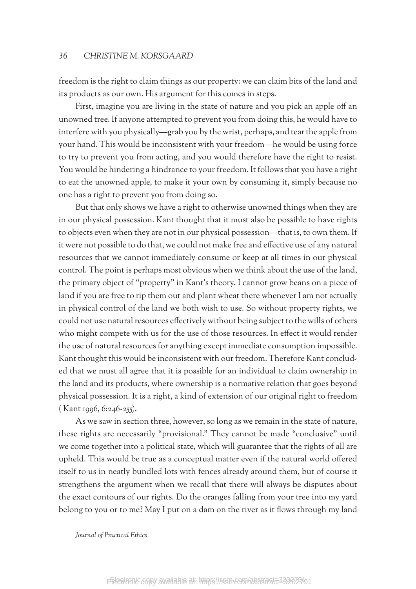freedom is the right to claim things as our property: we can claim bits of the land and its products as our own. His argument for this comes in steps.

First, imagine you are living in the state of nature and you pick an apple off an unowned tree. If anyone attempted to prevent you from doing this, he would have to interfere with you physically—grab you by the wrist, perhaps, and tear the apple from your hand. This would be inconsistent with your freedom—he would be using force to try to prevent you from acting, and you would therefore have the right to resist. You would be hindering a hindrance to your freedom. It follows that you have a right to eat the unowned apple, to make it your own by consuming it, simply because no one has a right to prevent you from doing so.

But that only shows we have a right to otherwise unowned things when they are in our physical possession. Kant thought that it must also be possible to have rights to objects even when they are not in our physical possession—that is, to own them. If it were not possible to do that, we could not make free and effective use of any natural resources that we cannot immediately consume or keep at all times in our physical control. The point is perhaps most obvious when we think about the use of the land, the primary object of "property" in Kant's theory. I cannot grow beans on a piece of land if you are free to rip them out and plant wheat there whenever I am not actually in physical control of the land we both wish to use. So without property rights, we could not use natural resources effectively without being subject to the wills of others who might compete with us for the use of those resources. In effect it would render the use of natural resources for anything except immediate consumption impossible. Kant thought this would be inconsistent with our freedom. Therefore Kant concluded that we must all agree that it is possible for an individual to claim ownership in the land and its products, where ownership is a normative relation that goes beyond physical possession. It is a right, a kind of extension of our original right to freedom ( Kant 1996, 6:246-255).

As we saw in section three, however, so long as we remain in the state of nature, these rights are necessarily "provisional." They cannot be made "conclusive" until we come together into a political state, which will guarantee that the rights of all are upheld. This would be true as a conceptual matter even if the natural world offered itself to us in neatly bundled lots with fences already around them, but of course it strengthens the argument when we recall that there will always be disputes about the exact contours of our rights. Do the oranges falling from your tree into my yard belong to you or to me? May I put on a dam on the river as it flows through my land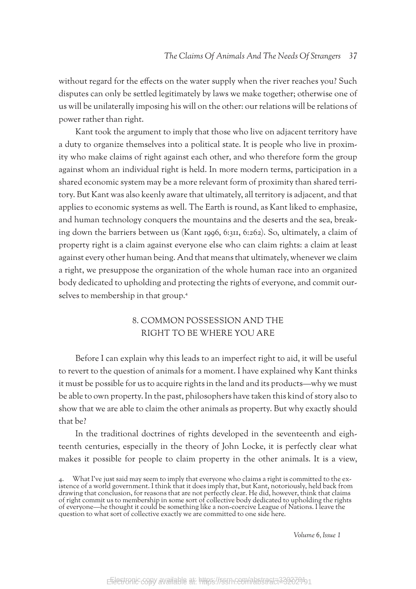without regard for the effects on the water supply when the river reaches you? Such disputes can only be settled legitimately by laws we make together; otherwise one of us will be unilaterally imposing his will on the other: our relations will be relations of power rather than right.

Kant took the argument to imply that those who live on adjacent territory have a duty to organize themselves into a political state. It is people who live in proximity who make claims of right against each other, and who therefore form the group against whom an individual right is held. In more modern terms, participation in a shared economic system may be a more relevant form of proximity than shared territory. But Kant was also keenly aware that ultimately, all territory is adjacent, and that applies to economic systems as well. The Earth is round, as Kant liked to emphasize, and human technology conquers the mountains and the deserts and the sea, breaking down the barriers between us (Kant 1996, 6:311, 6:262). So, ultimately, a claim of property right is a claim against everyone else who can claim rights: a claim at least against every other human being. And that means that ultimately, whenever we claim a right, we presuppose the organization of the whole human race into an organized body dedicated to upholding and protecting the rights of everyone, and commit ourselves to membership in that group.4

# 8. COMMON POSSESSION AND THE RIGHT TO BE WHERE YOU ARE

Before I can explain why this leads to an imperfect right to aid, it will be useful to revert to the question of animals for a moment. I have explained why Kant thinks it must be possible for us to acquire rights in the land and its products—why we must be able to own property. In the past, philosophers have taken this kind of story also to show that we are able to claim the other animals as property. But why exactly should that be?

In the traditional doctrines of rights developed in the seventeenth and eighteenth centuries, especially in the theory of John Locke, it is perfectly clear what makes it possible for people to claim property in the other animals. It is a view,

<sup>4.</sup> What I've just said may seem to imply that everyone who claims a right is committed to the ex- istence of a world government. I think that it does imply that, but Kant, notoriously, held back from drawing that conclusion, for reasons that are not perfectly clear. He did, however, think that claims of right commit us to membership in some sort of collective body dedicated to upholding the rights of everyone—he thought it could be something like a non-coercive League of Nations. I leave the question to what sort of collective exactly we are committed to one side here.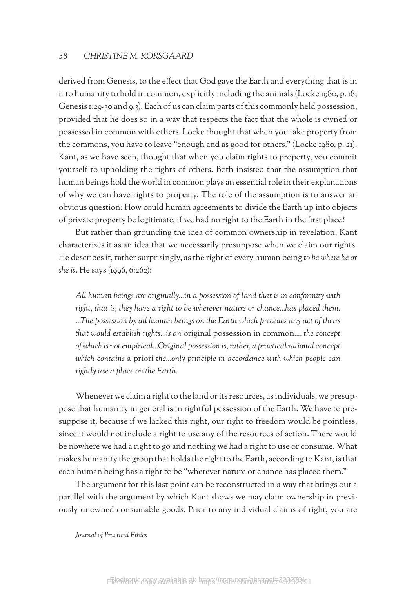derived from Genesis, to the effect that God gave the Earth and everything that is in it to humanity to hold in common, explicitly including the animals (Locke 1980, p. 18; Genesis 1:29-30 and 9:3). Each of us can claim parts of this commonly held possession, provided that he does so in a way that respects the fact that the whole is owned or possessed in common with others. Locke thought that when you take property from the commons, you have to leave "enough and as good for others." (Locke 1980, p. 21). Kant, as we have seen, thought that when you claim rights to property, you commit yourself to upholding the rights of others. Both insisted that the assumption that human beings hold the world in common plays an essential role in their explanations of why we can have rights to property. The role of the assumption is to answer an obvious question: How could human agreements to divide the Earth up into objects of private property be legitimate, if we had no right to the Earth in the first place?

But rather than grounding the idea of common ownership in revelation, Kant characterizes it as an idea that we necessarily presuppose when we claim our rights. He describes it, rather surprisingly, as the right of every human being *to be where he or she is*. He says (1996, 6:262):

*All human beings are originally…in a possession of land that is in conformity with right, that is, they have a right to be wherever nature or chance…has placed them. ...The possession by all human beings on the Earth which precedes any act of theirs that would establish rights…is an* original possession in common*…, the concept of which is not empirical…Original possession is, rather, a practical rational concept which contains* a priori *the…only principle in accordance with which people can rightly use a place on the Earth.* 

Whenever we claim a right to the land or its resources, as individuals, we presuppose that humanity in general is in rightful possession of the Earth. We have to presuppose it, because if we lacked this right, our right to freedom would be pointless, since it would not include a right to use any of the resources of action. There would be nowhere we had a right to go and nothing we had a right to use or consume. What makes humanity the group that holds the right to the Earth, according to Kant, is that each human being has a right to be "wherever nature or chance has placed them."

The argument for this last point can be reconstructed in a way that brings out a parallel with the argument by which Kant shows we may claim ownership in previously unowned consumable goods. Prior to any individual claims of right, you are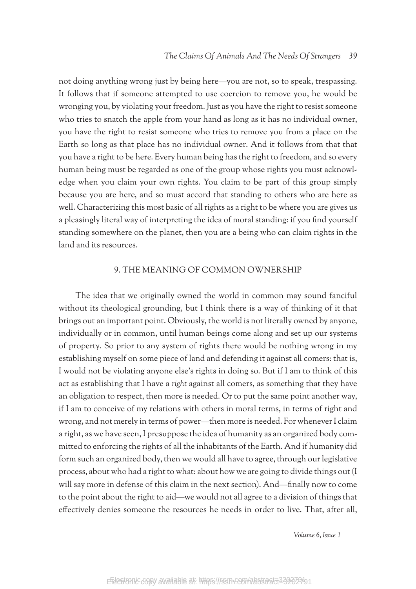not doing anything wrong just by being here—you are not, so to speak, trespassing. It follows that if someone attempted to use coercion to remove you, he would be wronging you, by violating your freedom. Just as you have the right to resist someone who tries to snatch the apple from your hand as long as it has no individual owner, you have the right to resist someone who tries to remove you from a place on the Earth so long as that place has no individual owner. And it follows from that that you have a right to be here. Every human being has the right to freedom, and so every human being must be regarded as one of the group whose rights you must acknowledge when you claim your own rights. You claim to be part of this group simply because you are here, and so must accord that standing to others who are here as well. Characterizing this most basic of all rights as a right to be where you are gives us a pleasingly literal way of interpreting the idea of moral standing: if you find yourself standing somewhere on the planet, then you are a being who can claim rights in the land and its resources.

## 9. THE MEANING OF COMMON OWNERSHIP

The idea that we originally owned the world in common may sound fanciful without its theological grounding, but I think there is a way of thinking of it that brings out an important point. Obviously, the world is not literally owned by anyone, individually or in common, until human beings come along and set up our systems of property. So prior to any system of rights there would be nothing wrong in my establishing myself on some piece of land and defending it against all comers: that is, I would not be violating anyone else's rights in doing so. But if I am to think of this act as establishing that I have a *right* against all comers, as something that they have an obligation to respect, then more is needed. Or to put the same point another way, if I am to conceive of my relations with others in moral terms, in terms of right and wrong, and not merely in terms of power—then more is needed. For whenever I claim a right, as we have seen, I presuppose the idea of humanity as an organized body committed to enforcing the rights of all the inhabitants of the Earth. And if humanity did form such an organized body, then we would all have to agree, through our legislative process, about who had a right to what: about how we are going to divide things out (I will say more in defense of this claim in the next section). And—finally now to come to the point about the right to aid—we would not all agree to a division of things that effectively denies someone the resources he needs in order to live. That, after all,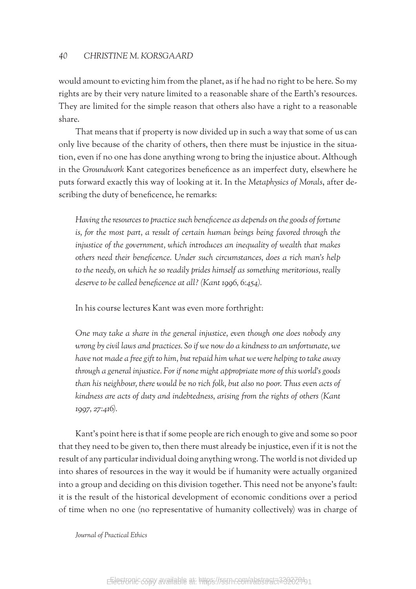would amount to evicting him from the planet, as if he had no right to be here. So my rights are by their very nature limited to a reasonable share of the Earth's resources. They are limited for the simple reason that others also have a right to a reasonable share.

That means that if property is now divided up in such a way that some of us can only live because of the charity of others, then there must be injustice in the situation, even if no one has done anything wrong to bring the injustice about. Although in the *Groundwork* Kant categorizes beneficence as an imperfect duty, elsewhere he puts forward exactly this way of looking at it. In the *Metaphysics of Morals*, after describing the duty of beneficence, he remarks:

*Having the resources to practice such beneficence as depends on the goods of fortune is, for the most part, a result of certain human beings being favored through the injustice of the government, which introduces an inequality of wealth that makes others need their beneficence. Under such circumstances, does a rich man's help to the needy, on which he so readily prides himself as something meritorious, really deserve to be called beneficence at all? (Kant 1996, 6:454).*

In his course lectures Kant was even more forthright:

*One may take a share in the general injustice, even though one does nobody any wrong by civil laws and practices. So if we now do a kindness to an unfortunate, we have not made a free gift to him, but repaid him what we were helping to take away through a general injustice. For if none might appropriate more of this world's goods than his neighbour, there would be no rich folk, but also no poor. Thus even acts of kindness are acts of duty and indebtedness, arising from the rights of others (Kant 1997, 27:416).*

Kant's point here is that if some people are rich enough to give and some so poor that they need to be given to, then there must already be injustice, even if it is not the result of any particular individual doing anything wrong. The world is not divided up into shares of resources in the way it would be if humanity were actually organized into a group and deciding on this division together. This need not be anyone's fault: it is the result of the historical development of economic conditions over a period of time when no one (no representative of humanity collectively) was in charge of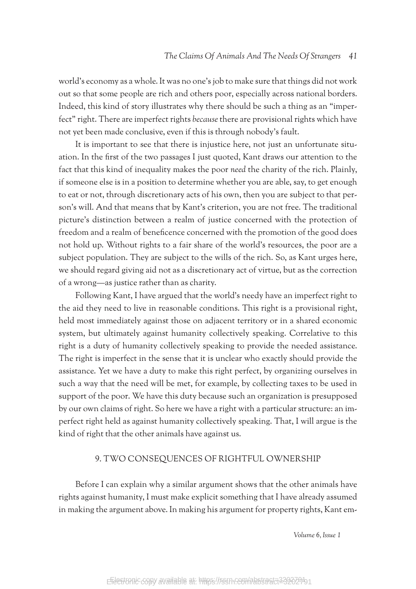world's economy as a whole. It was no one's job to make sure that things did not work out so that some people are rich and others poor, especially across national borders. Indeed, this kind of story illustrates why there should be such a thing as an "imperfect" right. There are imperfect rights *because* there are provisional rights which have not yet been made conclusive, even if this is through nobody's fault.

It is important to see that there is injustice here, not just an unfortunate situation. In the first of the two passages I just quoted, Kant draws our attention to the fact that this kind of inequality makes the poor *need* the charity of the rich. Plainly, if someone else is in a position to determine whether you are able, say, to get enough to eat or not, through discretionary acts of his own, then you are subject to that person's will. And that means that by Kant's criterion, you are not free. The traditional picture's distinction between a realm of justice concerned with the protection of freedom and a realm of beneficence concerned with the promotion of the good does not hold up. Without rights to a fair share of the world's resources, the poor are a subject population. They are subject to the wills of the rich. So, as Kant urges here, we should regard giving aid not as a discretionary act of virtue, but as the correction of a wrong—as justice rather than as charity.

Following Kant, I have argued that the world's needy have an imperfect right to the aid they need to live in reasonable conditions. This right is a provisional right, held most immediately against those on adjacent territory or in a shared economic system, but ultimately against humanity collectively speaking. Correlative to this right is a duty of humanity collectively speaking to provide the needed assistance. The right is imperfect in the sense that it is unclear who exactly should provide the assistance. Yet we have a duty to make this right perfect, by organizing ourselves in such a way that the need will be met, for example, by collecting taxes to be used in support of the poor. We have this duty because such an organization is presupposed by our own claims of right. So here we have a right with a particular structure: an imperfect right held as against humanity collectively speaking. That, I will argue is the kind of right that the other animals have against us.

## 9. TWO CONSEQUENCES OF RIGHTFUL OWNERSHIP

Before I can explain why a similar argument shows that the other animals have rights against humanity, I must make explicit something that I have already assumed in making the argument above. In making his argument for property rights, Kant em-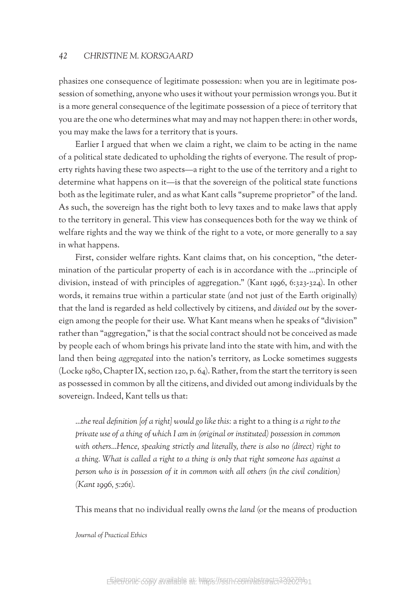phasizes one consequence of legitimate possession: when you are in legitimate possession of something, anyone who uses it without your permission wrongs you. But it is a more general consequence of the legitimate possession of a piece of territory that you are the one who determines what may and may not happen there: in other words, you may make the laws for a territory that is yours.

Earlier I argued that when we claim a right, we claim to be acting in the name of a political state dedicated to upholding the rights of everyone. The result of property rights having these two aspects—a right to the use of the territory and a right to determine what happens on it—is that the sovereign of the political state functions both as the legitimate ruler, and as what Kant calls "supreme proprietor" of the land. As such, the sovereign has the right both to levy taxes and to make laws that apply to the territory in general. This view has consequences both for the way we think of welfare rights and the way we think of the right to a vote, or more generally to a say in what happens.

First, consider welfare rights. Kant claims that, on his conception, "the determination of the particular property of each is in accordance with the …principle of division, instead of with principles of aggregation." (Kant 1996, 6:323-324). In other words, it remains true within a particular state (and not just of the Earth originally) that the land is regarded as held collectively by citizens, and *divided out* by the sovereign among the people for their use. What Kant means when he speaks of "division" rather than "aggregation," is that the social contract should not be conceived as made by people each of whom brings his private land into the state with him, and with the land then being *aggregated* into the nation's territory, as Locke sometimes suggests (Locke 1980, Chapter IX, section 120, p. 64). Rather, from the start the territory is seen as possessed in common by all the citizens, and divided out among individuals by the sovereign. Indeed, Kant tells us that:

*…the real definition [of a right] would go like this:* a right to a thing *is a right to the private use of a thing of which I am in (original or instituted) possession in common*  with others...Hence, speaking strictly and literally, there is also no (direct) right to *a thing. What is called a right to a thing is only that right someone has against a person who is in possession of it in common with all others (in the civil condition) (Kant 1996, 5:261).*

This means that no individual really owns *the land* (or the means of production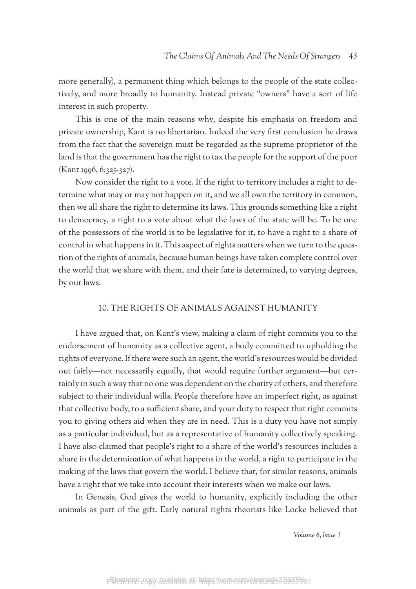more generally), a permanent thing which belongs to the people of the state collectively, and more broadly to humanity. Instead private "owners" have a sort of life interest in such property.

This is one of the main reasons why, despite his emphasis on freedom and private ownership, Kant is no libertarian. Indeed the very first conclusion he draws from the fact that the sovereign must be regarded as the supreme proprietor of the land is that the government has the right to tax the people for the support of the poor (Kant 1996, 6:325-327).

Now consider the right to a vote. If the right to territory includes a right to determine what may or may not happen on it, and we all own the territory in common, then we all share the right to determine its laws. This grounds something like a right to democracy, a right to a vote about what the laws of the state will be. To be one of the possessors of the world is to be legislative for it, to have a right to a share of control in what happens in it. This aspect of rights matters when we turn to the question of the rights of animals, because human beings have taken complete control over the world that we share with them, and their fate is determined, to varying degrees, by our laws.

## 10. THE RIGHTS OF ANIMALS AGAINST HUMANITY

I have argued that, on Kant's view, making a claim of right commits you to the endorsement of humanity as a collective agent, a body committed to upholding the rights of everyone. If there were such an agent, the world's resources would be divided out fairly—not necessarily equally, that would require further argument—but certainly in such a way that no one was dependent on the charity of others, and therefore subject to their individual wills. People therefore have an imperfect right, as against that collective body, to a sufficient share, and your duty to respect that right commits you to giving others aid when they are in need. This is a duty you have not simply as a particular individual, but as a representative of humanity collectively speaking. I have also claimed that people's right to a share of the world's resources includes a share in the determination of what happens in the world, a right to participate in the making of the laws that govern the world. I believe that, for similar reasons, animals have a right that we take into account their interests when we make our laws.

In Genesis, God gives the world to humanity, explicitly including the other animals as part of the gift. Early natural rights theorists like Locke believed that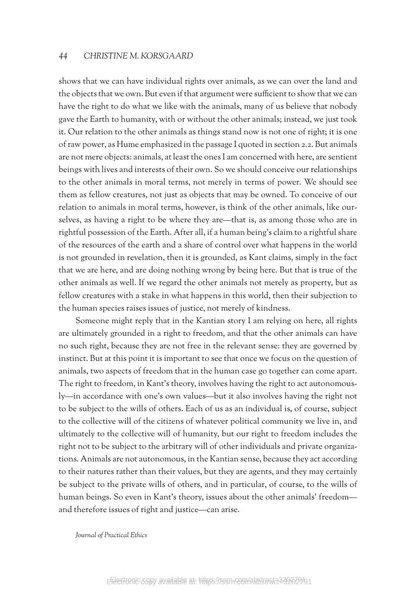shows that we can have individual rights over animals, as we can over the land and the objects that we own. But even if that argument were sufficient to show that we can have the right to do what we like with the animals, many of us believe that nobody gave the Earth to humanity, with or without the other animals; instead, we just took it. Our relation to the other animals as things stand now is not one of right; it is one of raw power, as Hume emphasized in the passage I quoted in section 2.2. But animals are not mere objects: animals, at least the ones I am concerned with here, are sentient beings with lives and interests of their own. So we should conceive our relationships to the other animals in moral terms, not merely in terms of power. We should see them as fellow creatures, not just as objects that may be owned. To conceive of our relation to animals in moral terms, however, is think of the other animals, like ourselves, as having a right to be where they are—that is, as among those who are in rightful possession of the Earth. After all, if a human being's claim to a rightful share of the resources of the earth and a share of control over what happens in the world is not grounded in revelation, then it is grounded, as Kant claims, simply in the fact that we are here, and are doing nothing wrong by being here. But that is true of the other animals as well. If we regard the other animals not merely as property, but as fellow creatures with a stake in what happens in this world, then their subjection to the human species raises issues of justice, not merely of kindness.

Someone might reply that in the Kantian story I am relying on here, all rights are ultimately grounded in a right to freedom, and that the other animals can have no such right, because they are not free in the relevant sense: they are governed by instinct. But at this point it is important to see that once we focus on the question of animals, two aspects of freedom that in the human case go together can come apart. The right to freedom, in Kant's theory, involves having the right to act autonomously—in accordance with one's own values—but it also involves having the right not to be subject to the wills of others. Each of us as an individual is, of course, subject to the collective will of the citizens of whatever political community we live in, and ultimately to the collective will of humanity, but our right to freedom includes the right not to be subject to the arbitrary will of other individuals and private organizations. Animals are not autonomous, in the Kantian sense, because they act according to their natures rather than their values, but they are agents, and they may certainly be subject to the private wills of others, and in particular, of course, to the wills of human beings. So even in Kant's theory, issues about the other animals' freedom and therefore issues of right and justice—can arise.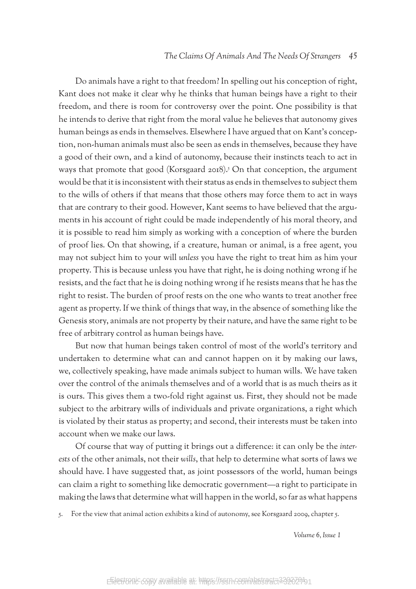Do animals have a right to that freedom? In spelling out his conception of right, Kant does not make it clear why he thinks that human beings have a right to their freedom, and there is room for controversy over the point. One possibility is that he intends to derive that right from the moral value he believes that autonomy gives human beings as ends in themselves. Elsewhere I have argued that on Kant's conception, non-human animals must also be seen as ends in themselves, because they have a good of their own, and a kind of autonomy, because their instincts teach to act in ways that promote that good (Korsgaard 2018).<sup>5</sup> On that conception, the argument would be that it is inconsistent with their status as ends in themselves to subject them to the wills of others if that means that those others may force them to act in ways that are contrary to their good. However, Kant seems to have believed that the arguments in his account of right could be made independently of his moral theory, and it is possible to read him simply as working with a conception of where the burden of proof lies. On that showing, if a creature, human or animal, is a free agent, you may not subject him to your will *unless* you have the right to treat him as him your property. This is because unless you have that right, he is doing nothing wrong if he resists, and the fact that he is doing nothing wrong if he resists means that he has the right to resist. The burden of proof rests on the one who wants to treat another free agent as property. If we think of things that way, in the absence of something like the Genesis story, animals are not property by their nature, and have the same right to be free of arbitrary control as human beings have.

But now that human beings taken control of most of the world's territory and undertaken to determine what can and cannot happen on it by making our laws, we, collectively speaking, have made animals subject to human wills. We have taken over the control of the animals themselves and of a world that is as much theirs as it is ours. This gives them a two-fold right against us. First, they should not be made subject to the arbitrary wills of individuals and private organizations, a right which is violated by their status as property; and second, their interests must be taken into account when we make our laws.

Of course that way of putting it brings out a difference: it can only be the *interests* of the other animals, not their *wills*, that help to determine what sorts of laws we should have. I have suggested that, as joint possessors of the world, human beings can claim a right to something like democratic government—a right to participate in making the laws that determine what will happen in the world, so far as what happens

5. For the view that animal action exhibits a kind of autonomy, see Korsgaard 2009, chapter 5.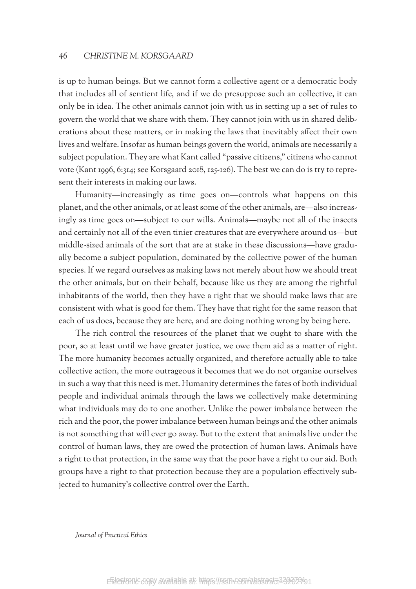is up to human beings. But we cannot form a collective agent or a democratic body that includes all of sentient life, and if we do presuppose such an collective, it can only be in idea. The other animals cannot join with us in setting up a set of rules to govern the world that we share with them. They cannot join with us in shared deliberations about these matters, or in making the laws that inevitably affect their own lives and welfare. Insofar as human beings govern the world, animals are necessarily a subject population. They are what Kant called "passive citizens," citizens who cannot vote (Kant 1996, 6:314; see Korsgaard 2018, 125-126). The best we can do is try to represent their interests in making our laws.

Humanity—increasingly as time goes on—controls what happens on this planet, and the other animals, or at least some of the other animals, are—also increasingly as time goes on—subject to our wills. Animals—maybe not all of the insects and certainly not all of the even tinier creatures that are everywhere around us—but middle-sized animals of the sort that are at stake in these discussions—have gradually become a subject population, dominated by the collective power of the human species. If we regard ourselves as making laws not merely about how we should treat the other animals, but on their behalf, because like us they are among the rightful inhabitants of the world, then they have a right that we should make laws that are consistent with what is good for them. They have that right for the same reason that each of us does, because they are here, and are doing nothing wrong by being here.

The rich control the resources of the planet that we ought to share with the poor, so at least until we have greater justice, we owe them aid as a matter of right. The more humanity becomes actually organized, and therefore actually able to take collective action, the more outrageous it becomes that we do not organize ourselves in such a way that this need is met. Humanity determines the fates of both individual people and individual animals through the laws we collectively make determining what individuals may do to one another. Unlike the power imbalance between the rich and the poor, the power imbalance between human beings and the other animals is not something that will ever go away. But to the extent that animals live under the control of human laws, they are owed the protection of human laws. Animals have a right to that protection, in the same way that the poor have a right to our aid. Both groups have a right to that protection because they are a population effectively subjected to humanity's collective control over the Earth.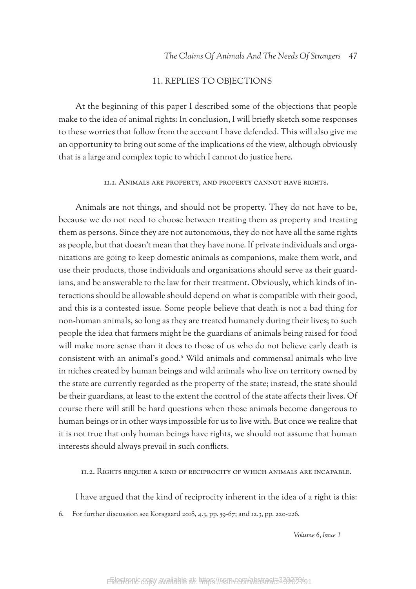## 11. REPLIES TO OBJECTIONS

At the beginning of this paper I described some of the objections that people make to the idea of animal rights: In conclusion, I will briefly sketch some responses to these worries that follow from the account I have defended. This will also give me an opportunity to bring out some of the implications of the view, although obviously that is a large and complex topic to which I cannot do justice here.

#### 11.1. Animals are property, and property cannot have rights.

Animals are not things, and should not be property. They do not have to be, because we do not need to choose between treating them as property and treating them as persons. Since they are not autonomous, they do not have all the same rights as people, but that doesn't mean that they have none. If private individuals and organizations are going to keep domestic animals as companions, make them work, and use their products, those individuals and organizations should serve as their guardians, and be answerable to the law for their treatment. Obviously, which kinds of interactions should be allowable should depend on what is compatible with their good, and this is a contested issue. Some people believe that death is not a bad thing for non-human animals, so long as they are treated humanely during their lives; to such people the idea that farmers might be the guardians of animals being raised for food will make more sense than it does to those of us who do not believe early death is consistent with an animal's good.6 Wild animals and commensal animals who live in niches created by human beings and wild animals who live on territory owned by the state are currently regarded as the property of the state; instead, the state should be their guardians, at least to the extent the control of the state affects their lives. Of course there will still be hard questions when those animals become dangerous to human beings or in other ways impossible for us to live with. But once we realize that it is not true that only human beings have rights, we should not assume that human interests should always prevail in such conflicts.

11.2. Rights require a kind of reciprocity of which animals are incapable.

I have argued that the kind of reciprocity inherent in the idea of a right is this:

6. For further discussion see Korsgaard 2018, 4.3, pp. 59-67; and 12.3, pp. 220-226.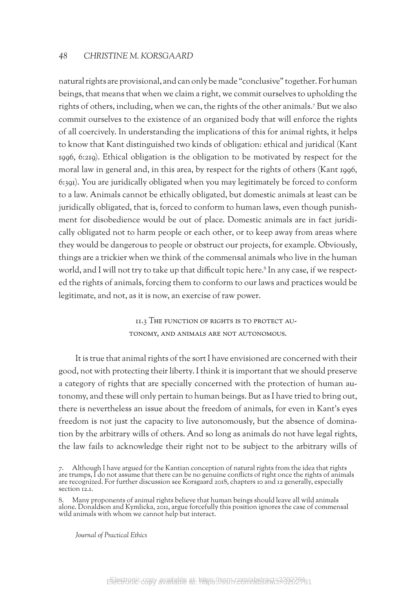natural rights are provisional, and can only be made "conclusive" together. For human beings, that means that when we claim a right, we commit ourselves to upholding the rights of others, including, when we can, the rights of the other animals.7 But we also commit ourselves to the existence of an organized body that will enforce the rights of all coercively. In understanding the implications of this for animal rights, it helps to know that Kant distinguished two kinds of obligation: ethical and juridical (Kant 1996, 6:219). Ethical obligation is the obligation to be motivated by respect for the moral law in general and, in this area, by respect for the rights of others (Kant 1996, 6:391). You are juridically obligated when you may legitimately be forced to conform to a law. Animals cannot be ethically obligated, but domestic animals at least can be juridically obligated, that is, forced to conform to human laws, even though punishment for disobedience would be out of place. Domestic animals are in fact juridically obligated not to harm people or each other, or to keep away from areas where they would be dangerous to people or obstruct our projects, for example. Obviously, things are a trickier when we think of the commensal animals who live in the human world, and I will not try to take up that difficult topic here.<sup>8</sup> In any case, if we respected the rights of animals, forcing them to conform to our laws and practices would be legitimate, and not, as it is now, an exercise of raw power.

> 11.3 The function of rights is to protect autonomy, and animals are not autonomous.

It is true that animal rights of the sort I have envisioned are concerned with their good, not with protecting their liberty. I think it is important that we should preserve a category of rights that are specially concerned with the protection of human autonomy, and these will only pertain to human beings. But as I have tried to bring out, there is nevertheless an issue about the freedom of animals, for even in Kant's eyes freedom is not just the capacity to live autonomously, but the absence of domination by the arbitrary wills of others. And so long as animals do not have legal rights, the law fails to acknowledge their right not to be subject to the arbitrary wills of

<sup>7.</sup> Although I have argued for the Kantian conception of natural rights from the idea that rights are trumps, I do not assume that there can be no genuine conflicts of right once the rights of animals are recognized. For further discussion see Korsgaard 2018, chapters 10 and 12 generally, especially section 12.1.

<sup>8.</sup> Many proponents of animal rights believe that human beings should leave all wild animals alone. Donaldson and Kymlicka, 2011, argue forcefully this position ignores the case of commensal wild animals with whom we cannot help but interact.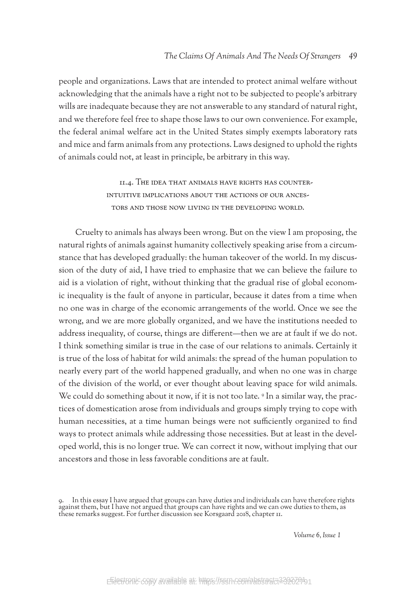people and organizations. Laws that are intended to protect animal welfare without acknowledging that the animals have a right not to be subjected to people's arbitrary wills are inadequate because they are not answerable to any standard of natural right, and we therefore feel free to shape those laws to our own convenience. For example, the federal animal welfare act in the United States simply exempts laboratory rats and mice and farm animals from any protections. Laws designed to uphold the rights of animals could not, at least in principle, be arbitrary in this way.

> 11.4. The idea that animals have rights has counterintuitive implications about the actions of our ancestors and those now living in the developing world.

Cruelty to animals has always been wrong. But on the view I am proposing, the natural rights of animals against humanity collectively speaking arise from a circumstance that has developed gradually: the human takeover of the world. In my discussion of the duty of aid, I have tried to emphasize that we can believe the failure to aid is a violation of right, without thinking that the gradual rise of global economic inequality is the fault of anyone in particular, because it dates from a time when no one was in charge of the economic arrangements of the world. Once we see the wrong, and we are more globally organized, and we have the institutions needed to address inequality, of course, things are different—then we are at fault if we do not. I think something similar is true in the case of our relations to animals. Certainly it is true of the loss of habitat for wild animals: the spread of the human population to nearly every part of the world happened gradually, and when no one was in charge of the division of the world, or ever thought about leaving space for wild animals. We could do something about it now, if it is not too late. <sup>9</sup> In a similar way, the practices of domestication arose from individuals and groups simply trying to cope with human necessities, at a time human beings were not sufficiently organized to find ways to protect animals while addressing those necessities. But at least in the developed world, this is no longer true. We can correct it now, without implying that our ancestors and those in less favorable conditions are at fault.

<sup>9.</sup> In this essay I have argued that groups can have duties and individuals can have therefore rights against them, but I have not argued that groups can have rights and we can owe duties to them, as these remarks suggest. For further discussion see Korsgaard 2018, chapter 11.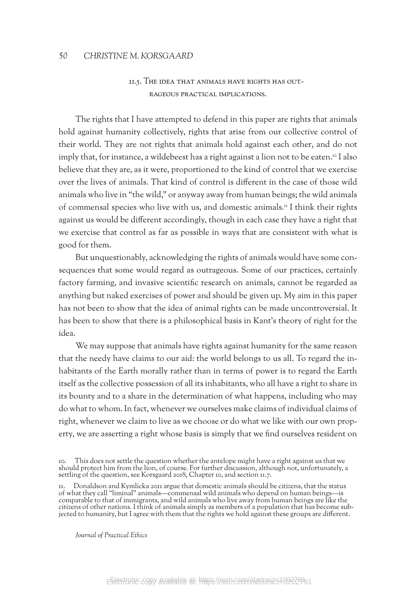# 11.5. The idea that animals have rights has outrageous practical implications.

The rights that I have attempted to defend in this paper are rights that animals hold against humanity collectively, rights that arise from our collective control of their world. They are not rights that animals hold against each other, and do not imply that, for instance, a wildebeest has a right against a lion not to be eaten.<sup>10</sup> I also believe that they are, as it were, proportioned to the kind of control that we exercise over the lives of animals. That kind of control is different in the case of those wild animals who live in "the wild," or anyway away from human beings; the wild animals of commensal species who live with us, and domestic animals.11 I think their rights against us would be different accordingly, though in each case they have a right that we exercise that control as far as possible in ways that are consistent with what is good for them.

But unquestionably, acknowledging the rights of animals would have some consequences that some would regard as outrageous. Some of our practices, certainly factory farming, and invasive scientific research on animals, cannot be regarded as anything but naked exercises of power and should be given up. My aim in this paper has not been to show that the idea of animal rights can be made uncontroversial. It has been to show that there is a philosophical basis in Kant's theory of right for the idea.

We may suppose that animals have rights against humanity for the same reason that the needy have claims to our aid: the world belongs to us all. To regard the inhabitants of the Earth morally rather than in terms of power is to regard the Earth itself as the collective possession of all its inhabitants, who all have a right to share in its bounty and to a share in the determination of what happens, including who may do what to whom. In fact, whenever we ourselves make claims of individual claims of right, whenever we claim to live as we choose or do what we like with our own property, we are asserting a right whose basis is simply that we find ourselves resident on

This does not settle the question whether the antelope might have a right against us that we should protect him from the lion, of course. For further discussion, although not, unfortunately, a settling of the question, see Korsgaard 2018, Chapter 10, and section 11.7.

<sup>11.</sup> Donaldson and Kymlicka 2011 argue that domestic animals should be citizens, that the status of what they call "liminal" animals—commensal wild animals who depend on human beings—is comparable to that of immigrants, and wild animals who live away from human beings are like the citizens of other nations. I think of animals simply as members of a population that has become sub- jected to humanity, but I agree with them that the rights we hold against these groups are different.